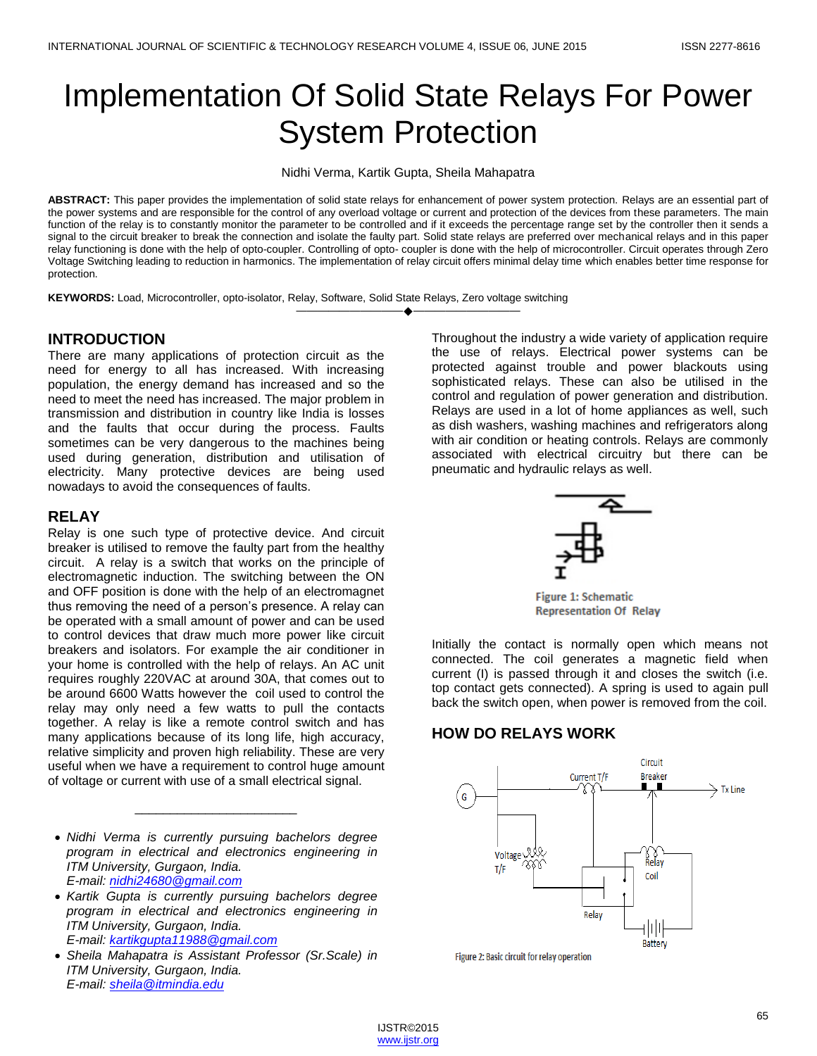# Implementation Of Solid State Relays For Power System Protection

Nidhi Verma, Kartik Gupta, Sheila Mahapatra

**ABSTRACT:** This paper provides the implementation of solid state relays for enhancement of power system protection. Relays are an essential part of the power systems and are responsible for the control of any overload voltage or current and protection of the devices from these parameters. The main function of the relay is to constantly monitor the parameter to be controlled and if it exceeds the percentage range set by the controller then it sends a signal to the circuit breaker to break the connection and isolate the faulty part. Solid state relays are preferred over mechanical relays and in this paper relay functioning is done with the help of opto-coupler. Controlling of opto- coupler is done with the help of microcontroller. Circuit operates through Zero Voltage Switching leading to reduction in harmonics. The implementation of relay circuit offers minimal delay time which enables better time response for protection.

————————————————————

**KEYWORDS:** Load, Microcontroller, opto-isolator, Relay, Software, Solid State Relays, Zero voltage switching

#### **INTRODUCTION**

There are many applications of protection circuit as the need for energy to all has increased. With increasing population, the energy demand has increased and so the need to meet the need has increased. The major problem in transmission and distribution in country like India is losses and the faults that occur during the process. Faults sometimes can be very dangerous to the machines being used during generation, distribution and utilisation of electricity. Many protective devices are being used nowadays to avoid the consequences of faults.

## **RELAY**

Relay is one such type of protective device. And circuit breaker is utilised to remove the faulty part from the healthy circuit. A relay is a switch that works on the principle of electromagnetic induction. The switching between the ON and OFF position is done with the help of an electromagnet thus removing the need of a person's presence. A relay can be operated with a small amount of power and can be used to control devices that draw much more power like circuit breakers and isolators. For example the air conditioner in your home is controlled with the help of relays. An AC unit requires roughly 220VAC at around 30A, that comes out to be around 6600 Watts however the coil used to control the relay may only need a few watts to pull the contacts together. A relay is like a remote control switch and has many applications because of its long life, high accuracy, relative simplicity and proven high reliability. These are very useful when we have a requirement to control huge amount of voltage or current with use of a small electrical signal.

 *Nidhi Verma is currently pursuing bachelors degree program in electrical and electronics engineering in ITM University, Gurgaon, India. E-mail: [nidhi24680@gmail.com](mailto:nidhi24680@gmail.com)*

\_\_\_\_\_\_\_\_\_\_\_\_\_\_\_\_\_\_\_\_\_\_\_

 *Kartik Gupta is currently pursuing bachelors degree program in electrical and electronics engineering in ITM University, Gurgaon, India. E-mail: [kartikgupta11988@gmail.com](mailto:kartikgupta11988@gmail.com)*

 *Sheila Mahapatra is Assistant Professor (Sr.Scale) in ITM University, Gurgaon, India. E-mail: [sheila@itmindia.edu](mailto:sheila@itmindia.edu)*

Throughout the industry a wide variety of application require the use of relays. Electrical power systems can be protected against trouble and power blackouts using sophisticated relays. These can also be utilised in the control and regulation of power generation and distribution. Relays are used in a lot of home appliances as well, such as dish washers, washing machines and refrigerators along with air condition or heating controls. Relays are commonly associated with electrical circuitry but there can be pneumatic and hydraulic relays as well.



**Figure 1: Schematic Representation Of Relay** 

Initially the contact is normally open which means not connected. The coil generates a magnetic field when current (I) is passed through it and closes the switch (i.e. top contact gets connected). A spring is used to again pull back the switch open, when power is removed from the coil.

## **HOW DO RELAYS WORK**



Figure 2: Basic circuit for relay operation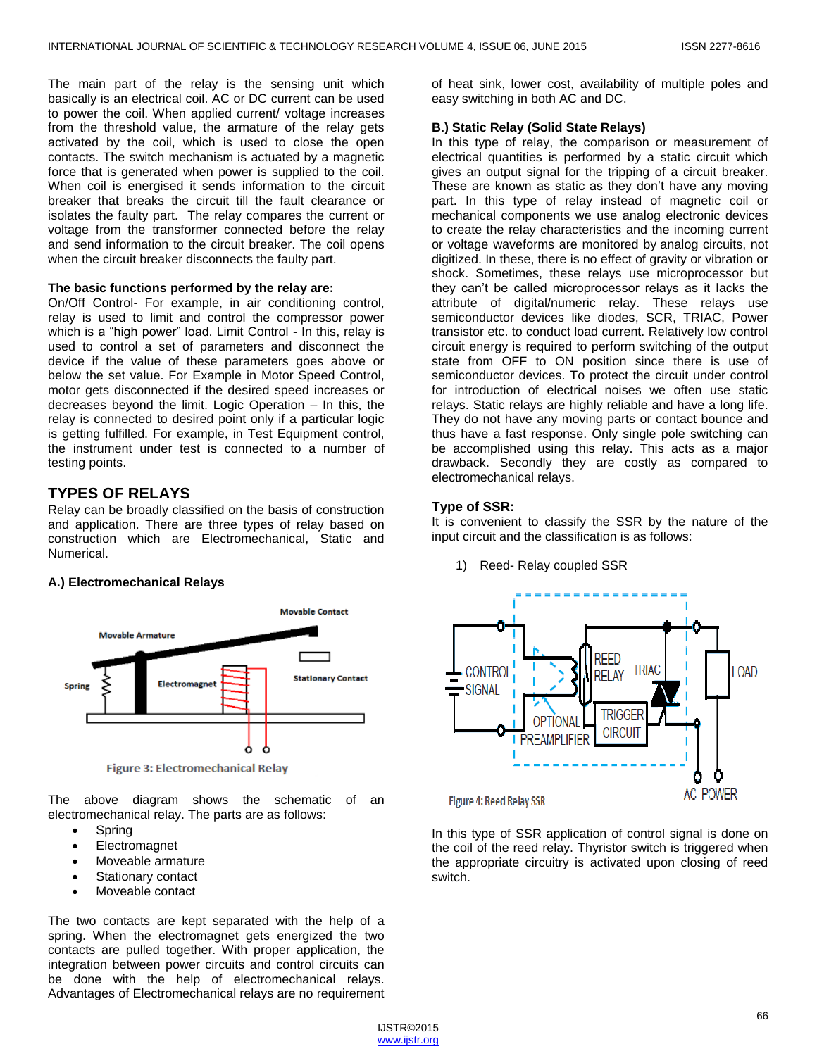The main part of the relay is the sensing unit which basically is an electrical coil. AC or DC current can be used to power the coil. When applied current/ voltage increases from the threshold value, the armature of the relay gets activated by the coil, which is used to close the open contacts. The switch mechanism is actuated by a magnetic force that is generated when power is supplied to the coil. When coil is energised it sends information to the circuit breaker that breaks the circuit till the fault clearance or isolates the faulty part. The relay compares the current or voltage from the transformer connected before the relay and send information to the circuit breaker. The coil opens when the circuit breaker disconnects the faulty part.

#### **The basic functions performed by the relay are:**

On/Off Control- For example, in air conditioning control, relay is used to limit and control the compressor power which is a "high power" load. Limit Control - In this, relay is used to control a set of parameters and disconnect the device if the value of these parameters goes above or below the set value. For Example in Motor Speed Control, motor gets disconnected if the desired speed increases or decreases beyond the limit. Logic Operation – In this, the relay is connected to desired point only if a particular logic is getting fulfilled. For example, in Test Equipment control, the instrument under test is connected to a number of testing points.

#### **TYPES OF RELAYS**

Relay can be broadly classified on the basis of construction and application. There are three types of relay based on construction which are Electromechanical, Static and Numerical.

#### **A.) Electromechanical Relays**



**Figure 3: Electromechanical Relay** 

The above diagram shows the schematic of an electromechanical relay. The parts are as follows:

- Spring
- **Electromagnet**
- Moveable armature
- Stationary contact
- Moveable contact

The two contacts are kept separated with the help of a spring. When the electromagnet gets energized the two contacts are pulled together. With proper application, the integration between power circuits and control circuits can be done with the help of electromechanical relays. Advantages of Electromechanical relays are no requirement

of heat sink, lower cost, availability of multiple poles and easy switching in both AC and DC.

#### **B.) Static Relay (Solid State Relays)**

In this type of relay, the comparison or measurement of electrical quantities is performed by a static circuit which gives an output signal for the tripping of a circuit breaker. These are known as static as they don't have any moving part. In this type of relay instead of magnetic coil or mechanical components we use analog electronic devices to create the relay characteristics and the incoming current or voltage waveforms are monitored by analog circuits, not digitized. In these, there is no effect of gravity or vibration or shock. Sometimes, these relays use microprocessor but they can't be called microprocessor relays as it lacks the attribute of digital/numeric relay. These relays use semiconductor devices like diodes, SCR, TRIAC, Power transistor etc. to conduct load current. Relatively low control circuit energy is required to perform switching of the output state from OFF to ON position since there is use of semiconductor devices. To protect the circuit under control for introduction of electrical noises we often use static relays. Static relays are highly reliable and have a long life. They do not have any moving parts or contact bounce and thus have a fast response. Only single pole switching can be accomplished using this relay. This acts as a major drawback. Secondly they are costly as compared to electromechanical relays.

#### **Type of SSR:**

It is convenient to classify the SSR by the nature of the input circuit and the classification is as follows:

1) Reed- Relay coupled SSR



Figure 4: Reed Relay SSR

In this type of SSR application of control signal is done on the coil of the reed relay. Thyristor switch is triggered when the appropriate circuitry is activated upon closing of reed switch.

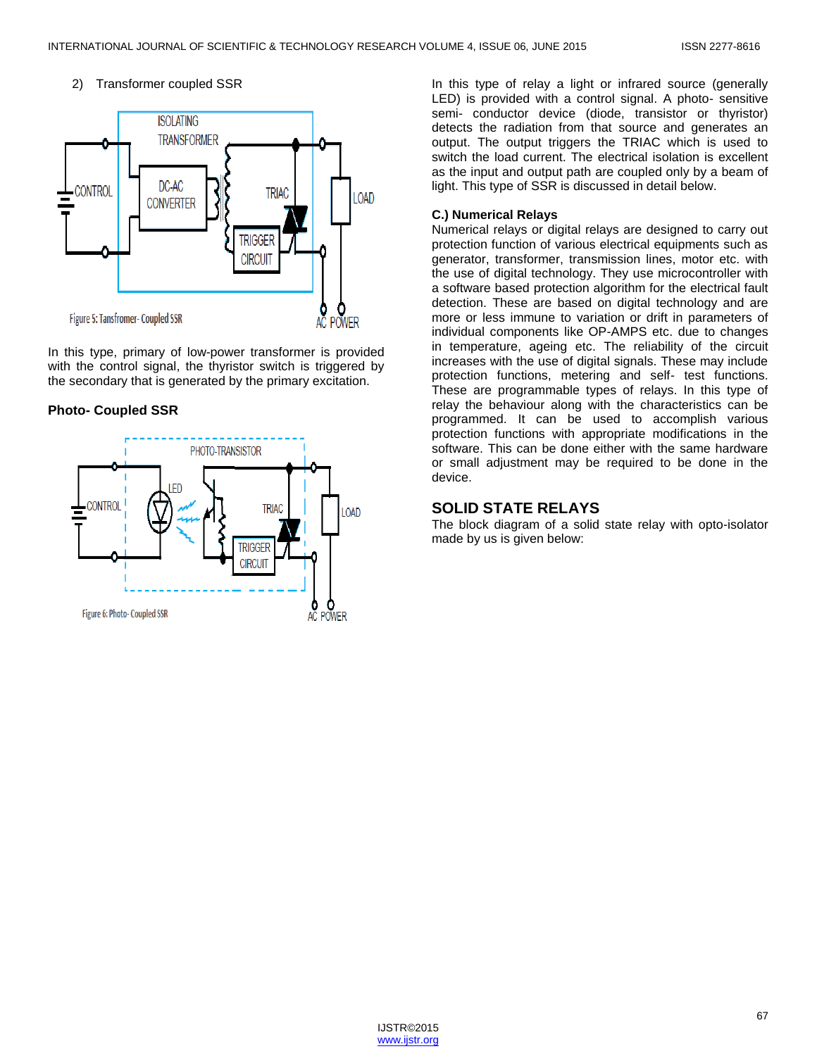#### 2) Transformer coupled SSR



In this type, primary of low-power transformer is provided with the control signal, the thyristor switch is triggered by the secondary that is generated by the primary excitation.

#### **Photo- Coupled SSR**



In this type of relay a light or infrared source (generally LED) is provided with a control signal. A photo- sensitive semi- conductor device (diode, transistor or thyristor) detects the radiation from that source and generates an output. The output triggers the TRIAC which is used to switch the load current. The electrical isolation is excellent as the input and output path are coupled only by a beam of light. This type of SSR is discussed in detail below.

#### **C.) Numerical Relays**

Numerical relays or digital relays are designed to carry out protection function of various electrical equipments such as generator, transformer, transmission lines, motor etc. with the use of digital technology. They use microcontroller with a software based protection algorithm for the electrical fault detection. These are based on digital technology and are more or less immune to variation or drift in parameters of individual components like OP-AMPS etc. due to changes in temperature, ageing etc. The reliability of the circuit increases with the use of digital signals. These may include protection functions, metering and self- test functions. These are programmable types of relays. In this type of relay the behaviour along with the characteristics can be programmed. It can be used to accomplish various protection functions with appropriate modifications in the software. This can be done either with the same hardware or small adjustment may be required to be done in the device.

## **SOLID STATE RELAYS**

The block diagram of a solid state relay with opto-isolator made by us is given below: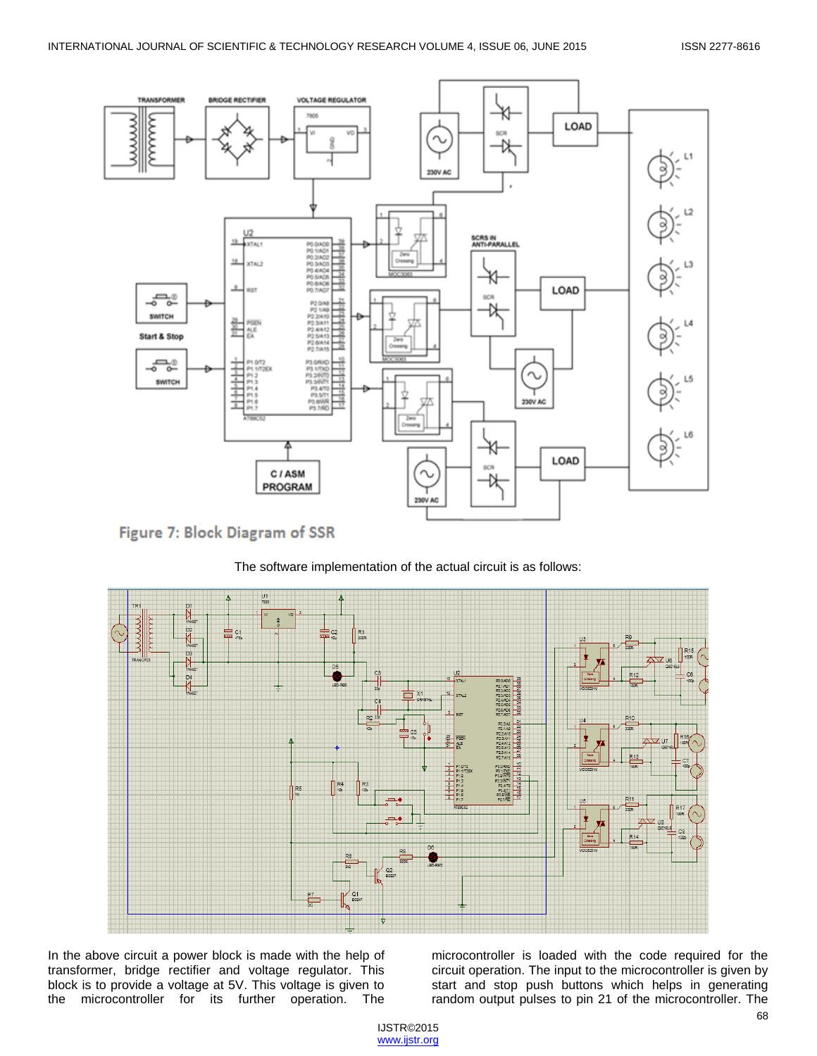







In the above circuit a power block is made with the help of transformer, bridge rectifier and voltage regulator. This block is to provide a voltage at 5V. This voltage is given to the microcontroller for its further operation. The microcontroller is loaded with the code required for the circuit operation. The input to the microcontroller is given by start and stop push buttons which helps in generating random output pulses to pin 21 of the microcontroller. The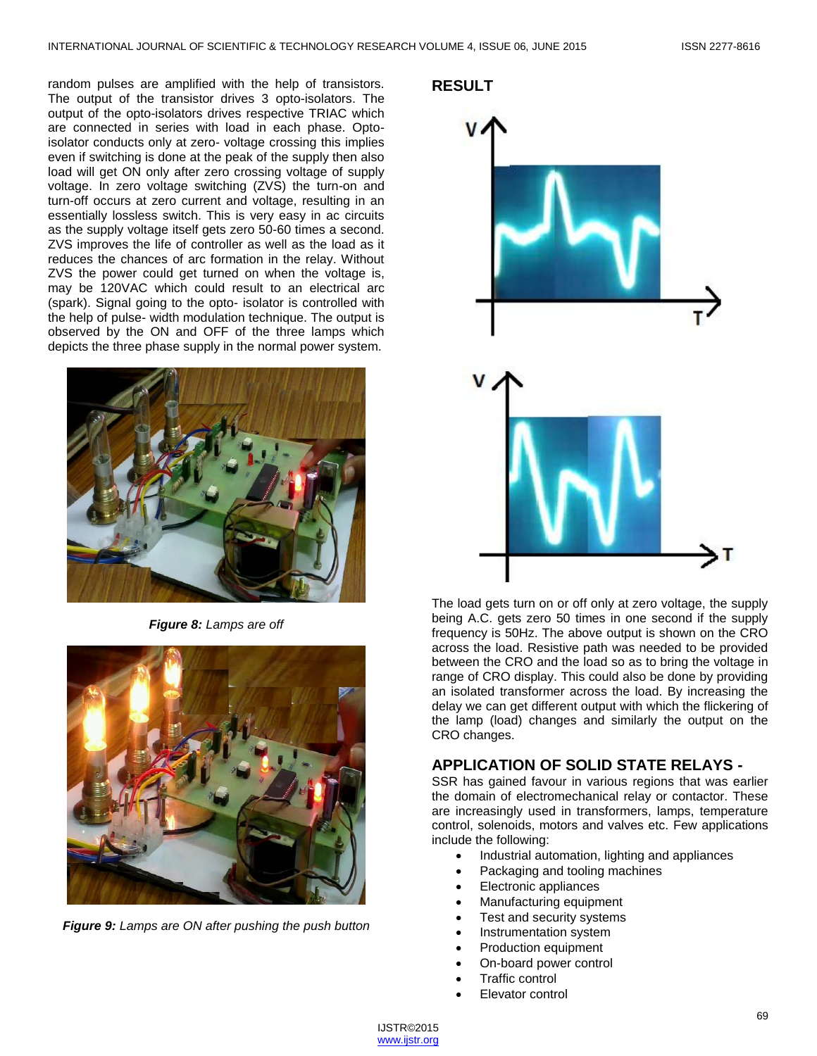random pulses are amplified with the help of transistors. The output of the transistor drives 3 opto-isolators. The output of the opto-isolators drives respective TRIAC which are connected in series with load in each phase. Optoisolator conducts only at zero- voltage crossing this implies even if switching is done at the peak of the supply then also load will get ON only after zero crossing voltage of supply voltage. In zero voltage switching (ZVS) the turn-on and turn-off occurs at zero current and voltage, resulting in an essentially lossless switch. This is very easy in ac circuits as the supply voltage itself gets zero 50-60 times a second. ZVS improves the life of controller as well as the load as it reduces the chances of arc formation in the relay. Without ZVS the power could get turned on when the voltage is, may be 120VAC which could result to an electrical arc (spark). Signal going to the opto- isolator is controlled with the help of pulse- width modulation technique. The output is observed by the ON and OFF of the three lamps which depicts the three phase supply in the normal power system.



*Figure 8: Lamps are off*



*Figure 9: Lamps are ON after pushing the push button*

#### **RESULT**



The load gets turn on or off only at zero voltage, the supply being A.C. gets zero 50 times in one second if the supply frequency is 50Hz. The above output is shown on the CRO across the load. Resistive path was needed to be provided between the CRO and the load so as to bring the voltage in range of CRO display. This could also be done by providing an isolated transformer across the load. By increasing the delay we can get different output with which the flickering of the lamp (load) changes and similarly the output on the CRO changes.

## **APPLICATION OF SOLID STATE RELAYS -**

SSR has gained favour in various regions that was earlier the domain of electromechanical relay or contactor. These are increasingly used in transformers, lamps, temperature control, solenoids, motors and valves etc. Few applications include the following:

- Industrial automation, lighting and appliances
- Packaging and tooling machines
- Electronic appliances
- Manufacturing equipment
- Test and security systems
- Instrumentation system
- Production equipment
- On-board power control
- Traffic control
- Elevator control